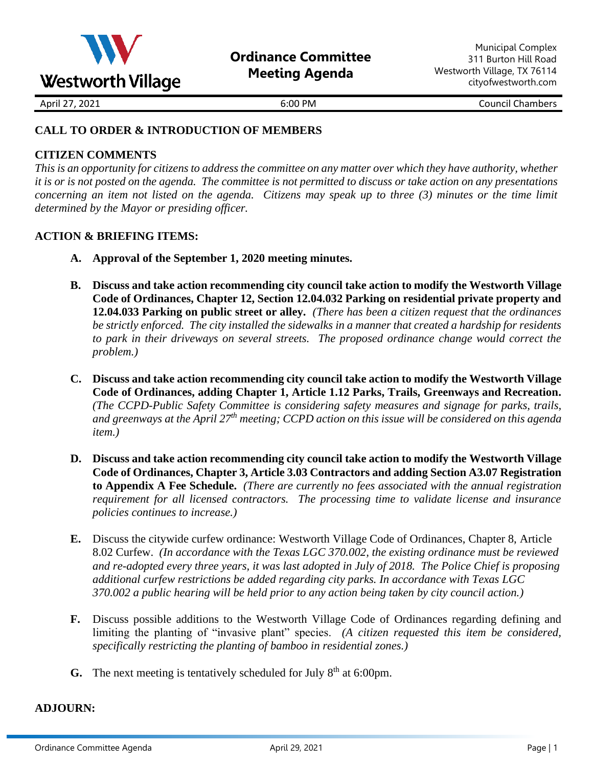

April 27, 2021 **6:00 PM** 6:00 PM Council Chambers

### **CALL TO ORDER & INTRODUCTION OF MEMBERS**

### **CITIZEN COMMENTS**

*This is an opportunity for citizens to address the committee on any matter over which they have authority, whether it is or is not posted on the agenda. The committee is not permitted to discuss or take action on any presentations concerning an item not listed on the agenda. Citizens may speak up to three (3) minutes or the time limit determined by the Mayor or presiding officer.*

### **ACTION & BRIEFING ITEMS:**

- **A. Approval of the September 1, 2020 meeting minutes.**
- **B. Discuss and take action recommending city council take action to modify the Westworth Village Code of Ordinances, Chapter 12, Section 12.04.032 Parking on residential private property and 12.04.033 Parking on public street or alley.** *(There has been a citizen request that the ordinances be strictly enforced. The city installed the sidewalks in a manner that created a hardship for residents to park in their driveways on several streets. The proposed ordinance change would correct the problem.)*
- **C. Discuss and take action recommending city council take action to modify the Westworth Village Code of Ordinances, adding Chapter 1, Article 1.12 Parks, Trails, Greenways and Recreation.**  *(The CCPD-Public Safety Committee is considering safety measures and signage for parks, trails, and greenways at the April 27th meeting; CCPD action on this issue will be considered on this agenda item.)*
- **D. Discuss and take action recommending city council take action to modify the Westworth Village Code of Ordinances, Chapter 3, Article 3.03 Contractors and adding Section A3.07 Registration to Appendix A Fee Schedule.** *(There are currently no fees associated with the annual registration requirement for all licensed contractors. The processing time to validate license and insurance policies continues to increase.)*
- **E.** Discuss the citywide curfew ordinance: Westworth Village Code of Ordinances, Chapter 8, Article 8.02 Curfew. *(In accordance with the Texas LGC 370.002, the existing ordinance must be reviewed and re-adopted every three years, it was last adopted in July of 2018. The Police Chief is proposing additional curfew restrictions be added regarding city parks. In accordance with Texas LGC 370.002 a public hearing will be held prior to any action being taken by city council action.)*
- **F.** Discuss possible additions to the Westworth Village Code of Ordinances regarding defining and limiting the planting of "invasive plant" species. *(A citizen requested this item be considered, specifically restricting the planting of bamboo in residential zones.)*
- **G.** The next meeting is tentatively scheduled for July 8<sup>th</sup> at 6:00pm.

### **ADJOURN:**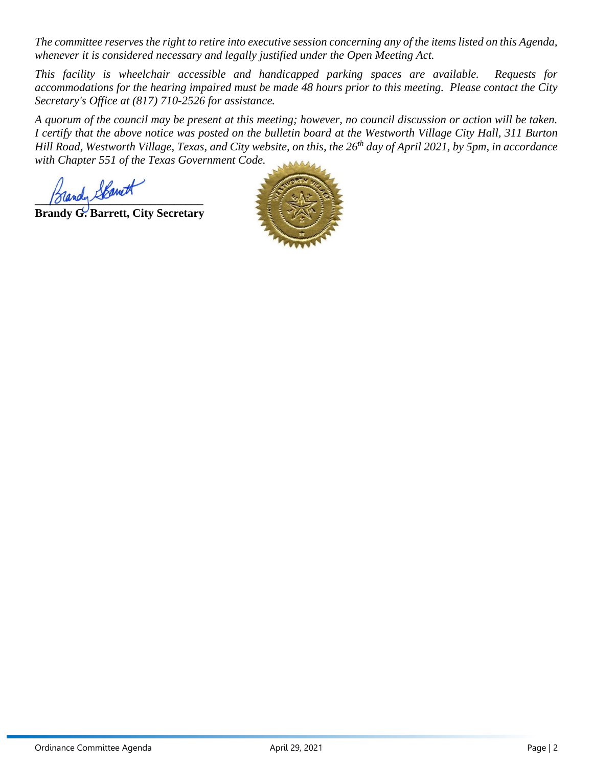*The committee reserves the right to retire into executive session concerning any of the items listed on this Agenda, whenever it is considered necessary and legally justified under the Open Meeting Act.*

*This facility is wheelchair accessible and handicapped parking spaces are available. Requests for accommodations for the hearing impaired must be made 48 hours prior to this meeting. Please contact the City Secretary's Office at (817) 710-2526 for assistance.*

*A quorum of the council may be present at this meeting; however, no council discussion or action will be taken. I certify that the above notice was posted on the bulletin board at the Westworth Village City Hall, 311 Burton Hill Road, Westworth Village, Texas, and City website, on this, the 26 th day of April 2021, by 5pm, in accordance with Chapter 551 of the Texas Government Code.* 

**\_\_\_\_\_\_\_\_\_\_\_\_\_\_\_\_\_\_\_\_\_\_\_\_\_\_\_\_\_**

**Brandy G. Barrett, City Secretary**

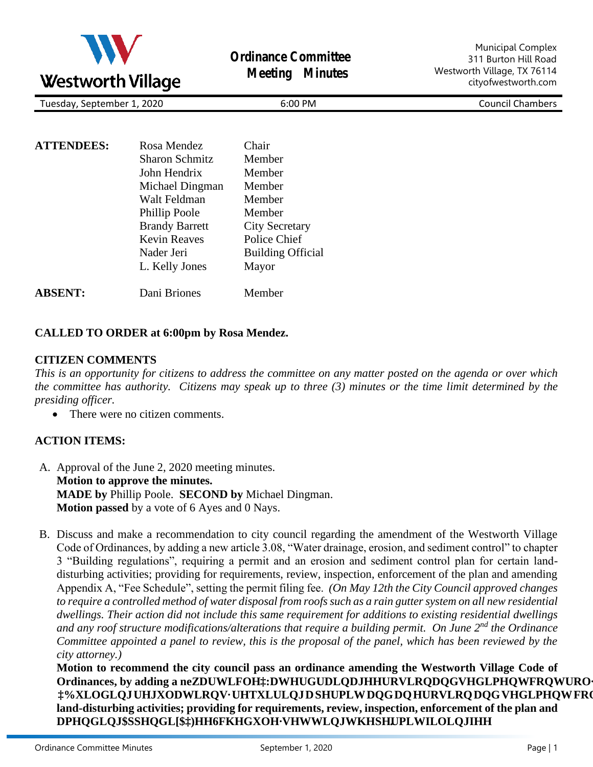

**Ordinance Committee Meeting Minutes**

Municipal Complex 311 Burton Hill Road Westworth Village, TX 76114 cityofwestworth.com

Tuesday, September 1, 2020 6:00 PM 6:00 PM Council Chambers

| <b>ATTENDEES:</b> | Rosa Mendez           | Chair                    |
|-------------------|-----------------------|--------------------------|
|                   | <b>Sharon Schmitz</b> | Member                   |
|                   | John Hendrix          | Member                   |
|                   | Michael Dingman       | Member                   |
|                   | Walt Feldman          | Member                   |
|                   | Phillip Poole         | Member                   |
|                   | <b>Brandy Barrett</b> | <b>City Secretary</b>    |
|                   | <b>Kevin Reaves</b>   | Police Chief             |
|                   | Nader Jeri            | <b>Building Official</b> |
|                   | L. Kelly Jones        | Mayor                    |
| <b>ABSENT:</b>    | Dani Briones          | Member                   |

### **CALLED TO ORDER at 6:00pm by Rosa Mendez.**

### **CITIZEN COMMENTS**

*This is an opportunity for citizens to address the committee on any matter posted on the agenda or over which the committee has authority. Citizens may speak up to three (3) minutes or the time limit determined by the presiding officer.* 

There were no citizen comments.

### **ACTION ITEMS:**

- A. Approval of the June 2, 2020 meeting minutes. **Motion to approve the minutes. MADE by** Phillip Poole. **SECOND by** Michael Dingman. **Motion passed** by a vote of 6 Ayes and 0 Nays.
- B. Discuss and make a recommendation to city council regarding the amendment of the Westworth Village Code of Ordinances, by adding a new article 3.08, "Water drainage, erosion, and sediment control" to chapter 3 "Building regulations", requiring a permit and an erosion and sediment control plan for certain landdisturbing activities; providing for requirements, review, inspection, enforcement of the plan and amending Appendix A, "Fee Schedule", setting the permit filing fee. *(On May 12th the City Council approved changes*  to require a controlled method of water disposal from roofs such as a rain gutter system on all new residential *dwellings. Their action did not include this same requirement for additions to existing residential dwellings and any roof structure modifications/alterations that require a building permit. On June 2nd the Ordinance Committee appointed a panel to review, this is the proposal of the panel, which has been reviewed by the city attorney.)*

**Motion to recommend the city council pass an ordinance amending the Westworth Village Code of Ordinances, by adding a ne**

**land-disturbing activities; providing for requirements, review, inspection, enforcement of the plan and** 

**.**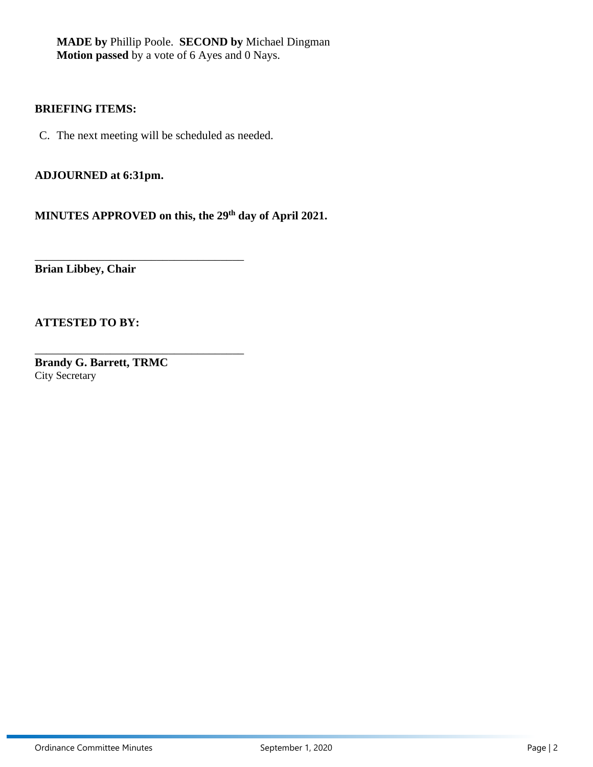**MADE by** Phillip Poole. **SECOND by** Michael Dingman **Motion passed** by a vote of 6 Ayes and 0 Nays.

### **BRIEFING ITEMS:**

C. The next meeting will be scheduled as needed.

\_\_\_\_\_\_\_\_\_\_\_\_\_\_\_\_\_\_\_\_\_\_\_\_\_\_\_\_\_\_\_\_\_\_\_\_

\_\_\_\_\_\_\_\_\_\_\_\_\_\_\_\_\_\_\_\_\_\_\_\_\_\_\_\_\_\_\_\_\_\_\_\_

**ADJOURNED at 6:31pm.** 

**MINUTES APPROVED on this, the 29th day of April 2021.** 

**Brian Libbey, Chair**

### **ATTESTED TO BY:**

**Brandy G. Barrett, TRMC** City Secretary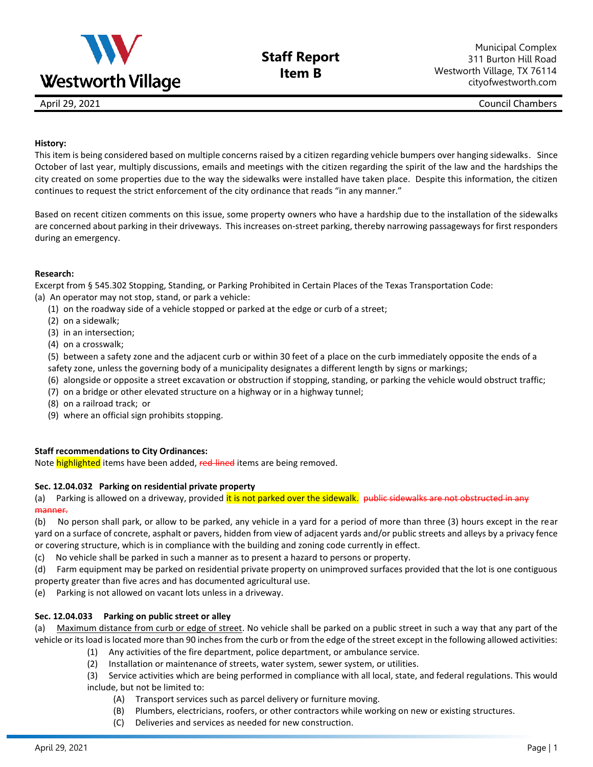

# **Staff Report Item B**

April 29, 2021 Council Chambers

#### **History:**

This item is being considered based on multiple concerns raised by a citizen regarding vehicle bumpers over hanging sidewalks. Since October of last year, multiply discussions, emails and meetings with the citizen regarding the spirit of the law and the hardships the city created on some properties due to the way the sidewalks were installed have taken place. Despite this information, the citizen continues to request the strict enforcement of the city ordinance that reads "in any manner."

Based on recent citizen comments on this issue, some property owners who have a hardship due to the installation of the sidewalks are concerned about parking in their driveways. This increases on-street parking, thereby narrowing passageways for first responders during an emergency.

#### **Research:**

Excerpt from § 545.302 Stopping, Standing, or Parking Prohibited in Certain Places of the Texas Transportation Code:

(a) An operator may not stop, stand, or park a vehicle:

- (1) on the roadway side of a vehicle stopped or parked at the edge or curb of a street;
- (2) on a sidewalk;
- (3) in an intersection;
- (4) on a crosswalk;
- (5) between a safety zone and the adjacent curb or within 30 feet of a place on the curb immediately opposite the ends of a safety zone, unless the governing body of a municipality designates a different length by signs or markings;
- (6) alongside or opposite a street excavation or obstruction if stopping, standing, or parking the vehicle would obstruct traffic;
- (7) on a bridge or other elevated structure on a highway or in a highway tunnel;
- (8) on a railroad track;  or
- (9) where an official sign prohibits stopping.

### **Staff recommendations to City Ordinances:**

Note highlighted items have been added, red-lined items are being removed.

#### **Sec. 12.04.032 Parking on residential private property**

(a) Parking is allowed on a driveway, provided it is not parked over the sidewalk. public sidewalks are not obstructed in any manner.

(b) No person shall park, or allow to be parked, any vehicle in a yard for a period of more than three (3) hours except in the rear yard on a surface of concrete, asphalt or pavers, hidden from view of adjacent yards and/or public streets and alleys by a privacy fence or covering structure, which is in compliance with the building and zoning code currently in effect.

(c) No vehicle shall be parked in such a manner as to present a hazard to persons or property.

(d) Farm equipment may be parked on residential private property on unimproved surfaces provided that the lot is one contiguous property greater than five acres and has documented agricultural use.

(e) Parking is not allowed on vacant lots unless in a driveway.

### **Sec. 12.04.033 Parking on public street or alley**

(a) Maximum distance from curb or edge of street. No vehicle shall be parked on a public street in such a way that any part of the vehicle or its load is located more than 90 inches from the curb or from the edge of the street except in the following allowed activities:

- (1) Any activities of the fire department, police department, or ambulance service.
- (2) Installation or maintenance of streets, water system, sewer system, or utilities.

(3) Service activities which are being performed in compliance with all local, state, and federal regulations. This would include, but not be limited to:

- (A) Transport services such as parcel delivery or furniture moving.
- (B) Plumbers, electricians, roofers, or other contractors while working on new or existing structures.
- (C) Deliveries and services as needed for new construction.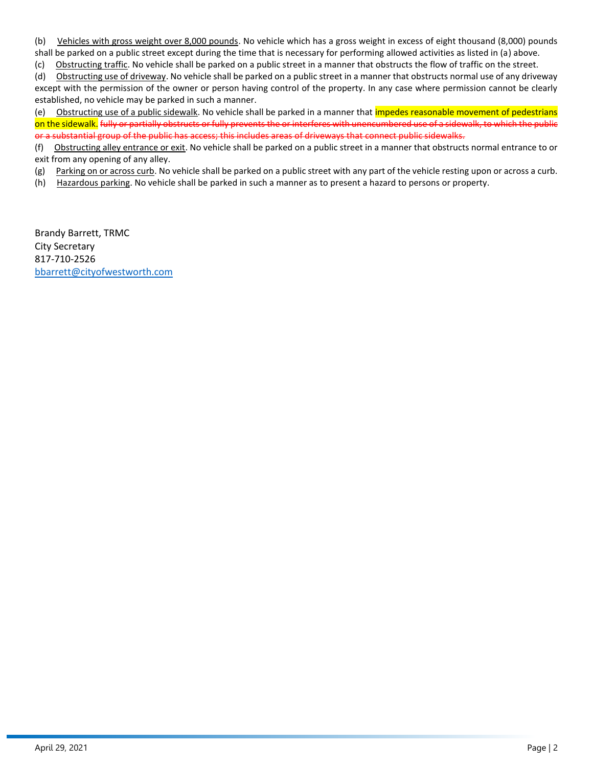(b) Vehicles with gross weight over 8,000 pounds. No vehicle which has a gross weight in excess of eight thousand (8,000) pounds shall be parked on a public street except during the time that is necessary for performing allowed activities as listed in (a) above.

(c) Obstructing traffic. No vehicle shall be parked on a public street in a manner that obstructs the flow of traffic on the street.

(d) Obstructing use of driveway. No vehicle shall be parked on a public street in a manner that obstructs normal use of any driveway except with the permission of the owner or person having control of the property. In any case where permission cannot be clearly established, no vehicle may be parked in such a manner.

(e) Obstructing use of a public sidewalk. No vehicle shall be parked in a manner that *impedes reasonable movement of pedestrians* on the sidewalk. fully or partially obstructs or fully prevents the or interferes with unencumbered use of a sidewalk, to which the public or a substantial group of the public has access; this includes areas of driveways that connect public sidewalks.

(f) Obstructing alley entrance or exit. No vehicle shall be parked on a public street in a manner that obstructs normal entrance to or exit from any opening of any alley.

(g) Parking on or across curb. No vehicle shall be parked on a public street with any part of the vehicle resting upon or across a curb.

(h) Hazardous parking. No vehicle shall be parked in such a manner as to present a hazard to persons or property.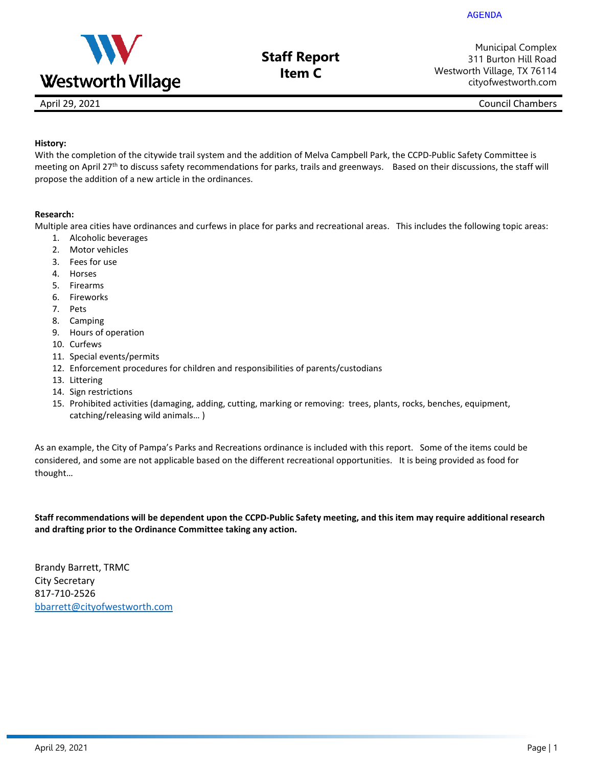

**Staff Report Item C**

Municipal Complex 311 Burton Hill Road Westworth Village, TX 76114 cityofwestworth.com

April 29, 2021 **Council Chambers** 

### **History:**

With the completion of the citywide trail system and the addition of Melva Campbell Park, the CCPD-Public Safety Committee is meeting on April 27<sup>th</sup> to discuss safety recommendations for parks, trails and greenways. Based on their discussions, the staff will propose the addition of a new article in the ordinances.

#### **Research:**

Multiple area cities have ordinances and curfews in place for parks and recreational areas. This includes the following topic areas:

- 1. Alcoholic beverages
- 2. Motor vehicles
- 3. Fees for use
- 4. Horses
- 5. Firearms
- 6. Fireworks
- 7. Pets
- 8. Camping
- 9. Hours of operation
- 10. Curfews
- 11. Special events/permits
- 12. Enforcement procedures for children and responsibilities of parents/custodians
- 13. Littering
- 14. Sign restrictions
- 15. Prohibited activities (damaging, adding, cutting, marking or removing: trees, plants, rocks, benches, equipment, catching/releasing wild animals… )

As an example, the City of Pampa's Parks and Recreations ordinance is included with this report. Some of the items could be considered, and some are not applicable based on the different recreational opportunities. It is being provided as food for thought…

**Staff recommendations will be dependent upon the CCPD-Public Safety meeting, and this item may require additional research and drafting prior to the Ordinance Committee taking any action.**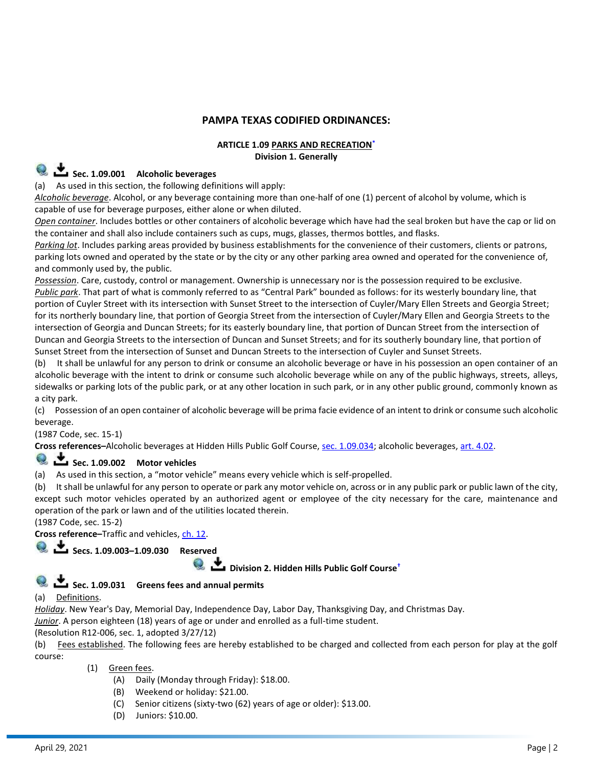### **PAMPA TEXAS CODIFIED ORDINANCES:**

### **ARTICLE 1.09 PARKS AND RECREATIO[N](https://z2codes.franklinlegal.net/franklin/DocViewer.jsp?doccode=z20000015&z2collection=pampa&showInToc=false#z2Code_z20000015)\* Division 1. Generally**

# **E** Sec. 1.09.001 Alcoholic beverages

(a) As used in this section, the following definitions will apply:

*Alcoholic beverage*. Alcohol, or any beverage containing more than one-half of one (1) percent of alcohol by volume, which is capable of use for beverage purposes, either alone or when diluted.

*Open container*. Includes bottles or other containers of alcoholic beverage which have had the seal broken but have the cap or lid on the container and shall also include containers such as cups, mugs, glasses, thermos bottles, and flasks.

*Parking lot*. Includes parking areas provided by business establishments for the convenience of their customers, clients or patrons, parking lots owned and operated by the state or by the city or any other parking area owned and operated for the convenience of, and commonly used by, the public.

*Possession*. Care, custody, control or management. Ownership is unnecessary nor is the possession required to be exclusive.

*Public park*. That part of what is commonly referred to as "Central Park" bounded as follows: for its westerly boundary line, that portion of Cuyler Street with its intersection with Sunset Street to the intersection of Cuyler/Mary Ellen Streets and Georgia Street; for its northerly boundary line, that portion of Georgia Street from the intersection of Cuyler/Mary Ellen and Georgia Streets to the intersection of Georgia and Duncan Streets; for its easterly boundary line, that portion of Duncan Street from the intersection of Duncan and Georgia Streets to the intersection of Duncan and Sunset Streets; and for its southerly boundary line, that portion of Sunset Street from the intersection of Sunset and Duncan Streets to the intersection of Cuyler and Sunset Streets.

(b) It shall be unlawful for any person to drink or consume an alcoholic beverage or have in his possession an open container of an alcoholic beverage with the intent to drink or consume such alcoholic beverage while on any of the public highways, streets, alleys, sidewalks or parking lots of the public park, or at any other location in such park, or in any other public ground, commonly known as a city park.

(c) Possession of an open container of alcoholic beverage will be prima facie evidence of an intent to drink or consume such alcoholic beverage.

(1987 Code, sec. 15-1)

Cross references-Alcoholic beverages at Hidden Hills Public Golf Course, [sec. 1.09.034;](https://z2codes.franklinlegal.net/franklin/DocViewer.jsp?doccode=z20000008&z2collection=pampa#JD_1.09.034) alcoholic beverages, [art. 4.02.](https://z2codes.franklinlegal.net/franklin/DocViewer.jsp?doccode=z20000035&z2collection=pampa#JD_4.02)

# **Sec. 1.09.002 Motor vehicles**

(a) As used in this section, a "motor vehicle" means every vehicle which is self-propelled.

(b) It shall be unlawful for any person to operate or park any motor vehicle on, across or in any public park or public lawn of the city, except such motor vehicles operated by an authorized agent or employee of the city necessary for the care, maintenance and operation of the park or lawn and of the utilities located therein.

(1987 Code, sec. 15-2)

**Cross reference–**Traffic and vehicles, [ch. 12.](https://z2codes.franklinlegal.net/franklin/DocViewer.jsp?doccode=z20000082&z2collection=pampa#JD_Chapter%2012)

# **Secs. 1.09.003–1.09.030 Reserved**

 **Division 2. Hidden Hills Public Golf Cours[e](https://z2codes.franklinlegal.net/franklin/DocViewer.jsp?doccode=z20000016&z2collection=pampa&showInToc=false#z2Code_z20000016)†**

# Sec. 1.09.031 Greens fees and annual permits

(a) Definitions.

*Holiday*. New Year's Day, Memorial Day, Independence Day, Labor Day, Thanksgiving Day, and Christmas Day.

*Junior*. A person eighteen (18) years of age or under and enrolled as a full-time student.

(Resolution R12-006, sec. 1, adopted 3/27/12)

(b) Fees established. The following fees are hereby established to be charged and collected from each person for play at the golf course:

(1) Green fees.

- (A) Daily (Monday through Friday): \$18.00.
- (B) Weekend or holiday: \$21.00.
- (C) Senior citizens (sixty-two (62) years of age or older): \$13.00.
- (D) Juniors: \$10.00.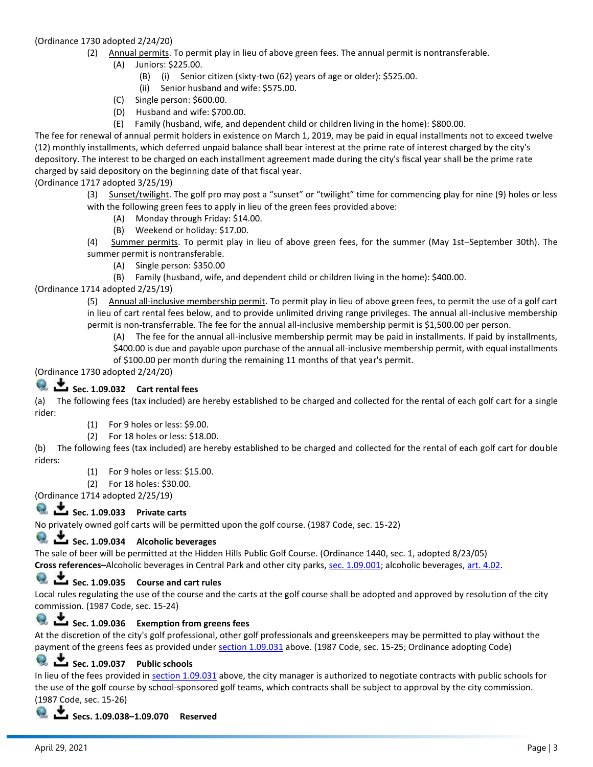#### (Ordinance 1730 adopted 2/24/20)

- (2) Annual permits. To permit play in lieu of above green fees. The annual permit is nontransferable.
	- (A) Juniors: \$225.00.
		- (B) (i) Senior citizen (sixty-two (62) years of age or older): \$525.00.
		- (ii) Senior husband and wife: \$575.00.
		- (C) Single person: \$600.00.
		- (D) Husband and wife: \$700.00.
	- (E) Family (husband, wife, and dependent child or children living in the home): \$800.00.

The fee for renewal of annual permit holders in existence on March 1, 2019, may be paid in equal installments not to exceed twelve (12) monthly installments, which deferred unpaid balance shall bear interest at the prime rate of interest charged by the city's depository. The interest to be charged on each installment agreement made during the city's fiscal year shall be the prime rate charged by said depository on the beginning date of that fiscal year.

(Ordinance 1717 adopted 3/25/19)

(3) Sunset/twilight. The golf pro may post a "sunset" or "twilight" time for commencing play for nine (9) holes or less with the following green fees to apply in lieu of the green fees provided above:

- (A) Monday through Friday: \$14.00.
- (B) Weekend or holiday: \$17.00.

(4) Summer permits. To permit play in lieu of above green fees, for the summer (May 1st–September 30th). The summer permit is nontransferable.

- (A) Single person: \$350.00
- (B) Family (husband, wife, and dependent child or children living in the home): \$400.00.

#### (Ordinance 1714 adopted 2/25/19)

(5) Annual all-inclusive membership permit. To permit play in lieu of above green fees, to permit the use of a golf cart in lieu of cart rental fees below, and to provide unlimited driving range privileges. The annual all-inclusive membership permit is non-transferrable. The fee for the annual all-inclusive membership permit is \$1,500.00 per person.

(A) The fee for the annual all-inclusive membership permit may be paid in installments. If paid by installments, \$400.00 is due and payable upon purchase of the annual all-inclusive membership permit, with equal installments of \$100.00 per month during the remaining 11 months of that year's permit.

(Ordinance 1730 adopted 2/24/20)



(a) The following fees (tax included) are hereby established to be charged and collected for the rental of each golf cart for a single rider:

- (1) For 9 holes or less: \$9.00.
- (2) For 18 holes or less: \$18.00.

(b) The following fees (tax included) are hereby established to be charged and collected for the rental of each golf cart for double riders:

- (1) For 9 holes or less: \$15.00.
- (2) For 18 holes: \$30.00.

(Ordinance 1714 adopted 2/25/19)

### **Q**  $\overset{\bullet}{\bullet}$  Sec. 1.09.033 Private carts

No privately owned golf carts will be permitted upon the golf course. (1987 Code, sec. 15-22)

### Sec. 1.09.034 Alcoholic beverages

The sale of beer will be permitted at the Hidden Hills Public Golf Course. (Ordinance 1440, sec. 1, adopted 8/23/05)

**Cross references–**Alcoholic beverages in Central Park and other city parks, [sec. 1.09.001;](https://z2codes.franklinlegal.net/franklin/DocViewer.jsp?doccode=z20000008&z2collection=pampa#JD_1.09.001) alcoholic beverages, [art. 4.02.](https://z2codes.franklinlegal.net/franklin/DocViewer.jsp?doccode=z20000035&z2collection=pampa#JD_4.02)

### Sec. 1.09.035 Course and cart rules

Local rules regulating the use of the course and the carts at the golf course shall be adopted and approved by resolution of the city commission. (1987 Code, sec. 15-24)

### Sec. 1.09.036 **Exemption from greens fees**

At the discretion of the city's golf professional, other golf professionals and greenskeepers may be permitted to play without the payment of the greens fees as provided under [section 1.09.031](https://z2codes.franklinlegal.net/franklin/DocViewer.jsp?doccode=z20000008&z2collection=pampa#JD_1.09.031) above. (1987 Code, sec. 15-25; Ordinance adopting Code)

# **Ex. 2.09.037** Public schools

In lieu of the fees provided in [section 1.09.031](https://z2codes.franklinlegal.net/franklin/DocViewer.jsp?doccode=z20000008&z2collection=pampa#JD_1.09.031) above, the city manager is authorized to negotiate contracts with public schools for the use of the golf course by school-sponsored golf teams, which contracts shall be subject to approval by the city commission. (1987 Code, sec. 15-26)

 **Secs. 1.09.038–1.09.070 Reserved**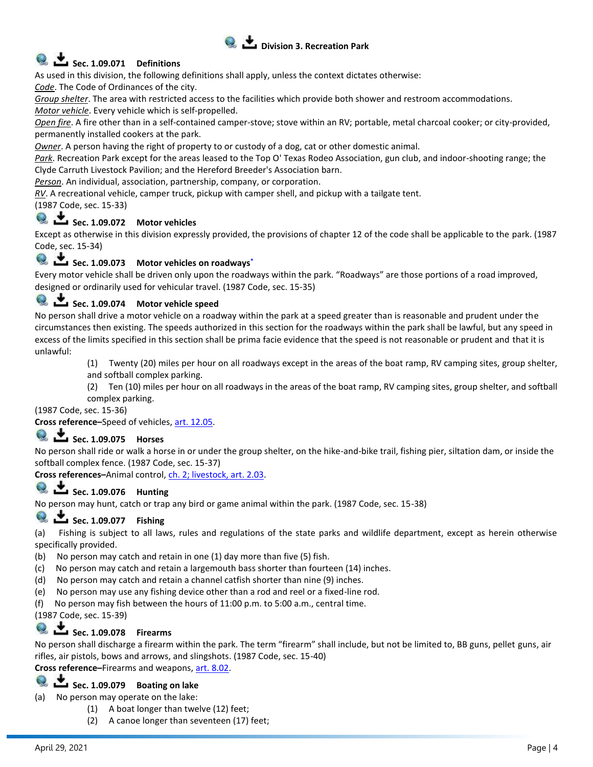

# **Q**  $\underset{\text{Sec. 1.09.071}}{\bullet}$  Definitions

As used in this division, the following definitions shall apply, unless the context dictates otherwise:

*Code*. The Code of Ordinances of the city.

*Group shelter*. The area with restricted access to the facilities which provide both shower and restroom accommodations. *Motor vehicle*. Every vehicle which is self-propelled.

*Open fire*. A fire other than in a self-contained camper-stove; stove within an RV; portable, metal charcoal cooker; or city-provided, permanently installed cookers at the park.

*Owner*. A person having the right of property to or custody of a dog, cat or other domestic animal.

*Park*. Recreation Park except for the areas leased to the Top O' Texas Rodeo Association, gun club, and indoor-shooting range; the Clyde Carruth Livestock Pavilion; and the Hereford Breeder's Association barn.

*Person*. An individual, association, partnership, company, or corporation.

*RV*. A recreational vehicle, camper truck, pickup with camper shell, and pickup with a tailgate tent.

(1987 Code, sec. 15-33)

# **Q**  $\overset{\bullet}{\bullet}$  **Sec. 1.09.072** Motor vehicles

Except as otherwise in this division expressly provided, the provisions of chapter 12 of the code shall be applicable to the park. (1987 Code, sec. 15-34)

# **Sec. 1.09.073 Motor vehicles on roadway[s](https://z2codes.franklinlegal.net/franklin/DocViewer.jsp?doccode=z20000017&z2collection=pampa&showInToc=false#z2Code_z20000017)\***

Every motor vehicle shall be driven only upon the roadways within the park. "Roadways" are those portions of a road improved, designed or ordinarily used for vehicular travel. (1987 Code, sec. 15-35)

# **<u>•</u>** Sec. 1.09.074 Motor vehicle speed

No person shall drive a motor vehicle on a roadway within the park at a speed greater than is reasonable and prudent under the circumstances then existing. The speeds authorized in this section for the roadways within the park shall be lawful, but any speed in excess of the limits specified in this section shall be prima facie evidence that the speed is not reasonable or prudent and that it is unlawful:

(1) Twenty (20) miles per hour on all roadways except in the areas of the boat ramp, RV camping sites, group shelter, and softball complex parking.

(2) Ten (10) miles per hour on all roadways in the areas of the boat ramp, RV camping sites, group shelter, and softball complex parking.

(1987 Code, sec. 15-36)

**Cross reference–**Speed of vehicles, [art. 12.05.](https://z2codes.franklinlegal.net/franklin/DocViewer.jsp?doccode=z20000082&z2collection=pampa#JD_12.05)

### **Sec. 1.09.075 Horses**

No person shall ride or walk a horse in or under the group shelter, on the hike-and-bike trail, fishing pier, siltation dam, or inside the softball complex fence. (1987 Code, sec. 15-37)

Cross references-Animal control, [ch. 2; livestock, art. 2.03.](https://z2codes.franklinlegal.net/franklin/DocViewer.jsp?doccode=z20000018&z2collection=pampa#JD_2.03)

### **Sec. 1.09.076 Hunting**

No person may hunt, catch or trap any bird or game animal within the park. (1987 Code, sec. 15-38)

### **Sec. 1.09.077 Fishing**

(a) Fishing is subject to all laws, rules and regulations of the state parks and wildlife department, except as herein otherwise specifically provided.

- (b) No person may catch and retain in one (1) day more than five (5) fish.
- (c) No person may catch and retain a largemouth bass shorter than fourteen (14) inches.
- (d) No person may catch and retain a channel catfish shorter than nine (9) inches.
- (e) No person may use any fishing device other than a rod and reel or a fixed-line rod.
- (f) No person may fish between the hours of 11:00 p.m. to 5:00 a.m., central time.

(1987 Code, sec. 15-39)

### **Sec. 1.09.078 Firearms**

No person shall discharge a firearm within the park. The term "firearm" shall include, but not be limited to, BB guns, pellet guns, air rifles, air pistols, bows and arrows, and slingshots. (1987 Code, sec. 15-40)

**Cross reference–**Firearms and weapons, [art. 8.02.](https://z2codes.franklinlegal.net/franklin/DocViewer.jsp?doccode=z20000056&z2collection=pampa#JD_8.02)

# **1.09.079 Boating on lake**

No person may operate on the lake:

- (1) A boat longer than twelve (12) feet;
- (2) A canoe longer than seventeen (17) feet;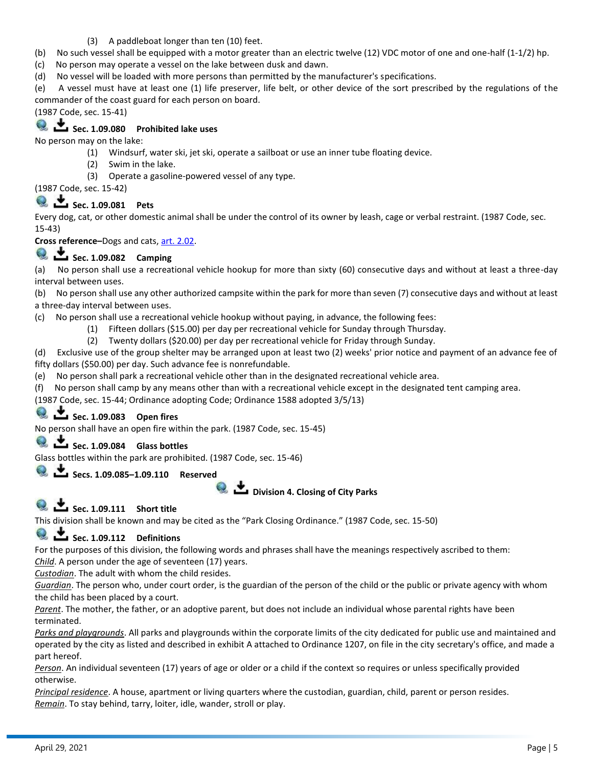- (3) A paddleboat longer than ten (10) feet.
- (b) No such vessel shall be equipped with a motor greater than an electric twelve (12) VDC motor of one and one-half (1-1/2) hp.
- (c) No person may operate a vessel on the lake between dusk and dawn.
- (d) No vessel will be loaded with more persons than permitted by the manufacturer's specifications.

(e) A vessel must have at least one (1) life preserver, life belt, or other device of the sort prescribed by the regulations of the commander of the coast guard for each person on board.

(1987 Code, sec. 15-41)

# Sec. 1.09.080 Prohibited lake uses

No person may on the lake:

- (1) Windsurf, water ski, jet ski, operate a sailboat or use an inner tube floating device.
- (2) Swim in the lake.
- (3) Operate a gasoline-powered vessel of any type.

(1987 Code, sec. 15-42)

# **Sec. 1.09.081 Pets**

Every dog, cat, or other domestic animal shall be under the control of its owner by leash, cage or verbal restraint. (1987 Code, sec. 15-43)

**Cross reference–**Dogs and cats, [art. 2.02.](https://z2codes.franklinlegal.net/franklin/DocViewer.jsp?doccode=z20000018&z2collection=pampa#JD_2.02)

# **Sec. 1.09.082 Camping**

(a) No person shall use a recreational vehicle hookup for more than sixty (60) consecutive days and without at least a three-day interval between uses.

(b) No person shall use any other authorized campsite within the park for more than seven (7) consecutive days and without at least a three-day interval between uses.

(c) No person shall use a recreational vehicle hookup without paying, in advance, the following fees:

- (1) Fifteen dollars (\$15.00) per day per recreational vehicle for Sunday through Thursday.
- (2) Twenty dollars (\$20.00) per day per recreational vehicle for Friday through Sunday.

(d) Exclusive use of the group shelter may be arranged upon at least two (2) weeks' prior notice and payment of an advance fee of fifty dollars (\$50.00) per day. Such advance fee is nonrefundable.

- (e) No person shall park a recreational vehicle other than in the designated recreational vehicle area.
- (f) No person shall camp by any means other than with a recreational vehicle except in the designated tent camping area.

(1987 Code, sec. 15-44; Ordinance adopting Code; Ordinance 1588 adopted 3/5/13)

### **Sec. 1.09.083 Open fires**

No person shall have an open fire within the park. (1987 Code, sec. 15-45)

### **Sec. 1.09.084 Glass bottles**

Glass bottles within the park are prohibited. (1987 Code, sec. 15-46)

### **Secs. 1.09.085–1.09.110 Reserved**



# **Q**  $\overset{\bullet}{\bullet}$  **Sec. 1.09.111** Short title

This division shall be known and may be cited as the "Park Closing Ordinance." (1987 Code, sec. 15-50)

# **Q**  $\bullet$  **Sec. 1.09.112 Definitions**

For the purposes of this division, the following words and phrases shall have the meanings respectively ascribed to them:

*Child*. A person under the age of seventeen (17) years.

*Custodian*. The adult with whom the child resides.

*Guardian*. The person who, under court order, is the guardian of the person of the child or the public or private agency with whom the child has been placed by a court.

*Parent*. The mother, the father, or an adoptive parent, but does not include an individual whose parental rights have been terminated.

*Parks and playgrounds*. All parks and playgrounds within the corporate limits of the city dedicated for public use and maintained and operated by the city as listed and described in exhibit A attached to Ordinance 1207, on file in the city secretary's office, and made a part hereof.

*Person*. An individual seventeen (17) years of age or older or a child if the context so requires or unless specifically provided otherwise.

*Principal residence*. A house, apartment or living quarters where the custodian, guardian, child, parent or person resides. *Remain*. To stay behind, tarry, loiter, idle, wander, stroll or play.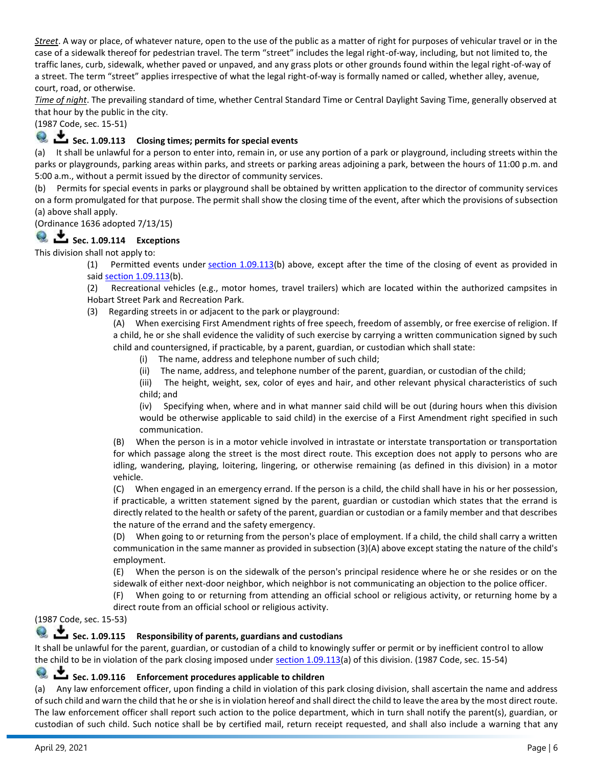*Street*. A way or place, of whatever nature, open to the use of the public as a matter of right for purposes of vehicular travel or in the case of a sidewalk thereof for pedestrian travel. The term "street" includes the legal right-of-way, including, but not limited to, the traffic lanes, curb, sidewalk, whether paved or unpaved, and any grass plots or other grounds found within the legal right-of-way of a street. The term "street" applies irrespective of what the legal right-of-way is formally named or called, whether alley, avenue, court, road, or otherwise.

*Time of night*. The prevailing standard of time, whether Central Standard Time or Central Daylight Saving Time, generally observed at that hour by the public in the city.

(1987 Code, sec. 15-51)

# **Let Sec. 1.09.113** Closing times; permits for special events

(a) It shall be unlawful for a person to enter into, remain in, or use any portion of a park or playground, including streets within the parks or playgrounds, parking areas within parks, and streets or parking areas adjoining a park, between the hours of 11:00 p.m. and 5:00 a.m., without a permit issued by the director of community services.

(b) Permits for special events in parks or playground shall be obtained by written application to the director of community services on a form promulgated for that purpose. The permit shall show the closing time of the event, after which the provisions of subsection (a) above shall apply.

(Ordinance 1636 adopted 7/13/15)

# **Q**  $\overset{\bullet}{\bullet}$  **Sec. 1.09.114 Exceptions**

This division shall not apply to:

(1) Permitted events under [section 1.09.113\(](https://z2codes.franklinlegal.net/franklin/DocViewer.jsp?doccode=z20000008&z2collection=pampa#JD_1.09.113)b) above, except after the time of the closing of event as provided in said [section 1.09.113\(](https://z2codes.franklinlegal.net/franklin/DocViewer.jsp?doccode=z20000008&z2collection=pampa#JD_1.09.113)b).

(2) Recreational vehicles (e.g., motor homes, travel trailers) which are located within the authorized campsites in Hobart Street Park and Recreation Park.

(3) Regarding streets in or adjacent to the park or playground:

(A) When exercising First Amendment rights of free speech, freedom of assembly, or free exercise of religion. If a child, he or she shall evidence the validity of such exercise by carrying a written communication signed by such child and countersigned, if practicable, by a parent, guardian, or custodian which shall state:

- (i) The name, address and telephone number of such child;
- (ii) The name, address, and telephone number of the parent, guardian, or custodian of the child;

(iii) The height, weight, sex, color of eyes and hair, and other relevant physical characteristics of such child; and

(iv) Specifying when, where and in what manner said child will be out (during hours when this division would be otherwise applicable to said child) in the exercise of a First Amendment right specified in such communication.

(B) When the person is in a motor vehicle involved in intrastate or interstate transportation or transportation for which passage along the street is the most direct route. This exception does not apply to persons who are idling, wandering, playing, loitering, lingering, or otherwise remaining (as defined in this division) in a motor vehicle.

(C) When engaged in an emergency errand. If the person is a child, the child shall have in his or her possession, if practicable, a written statement signed by the parent, guardian or custodian which states that the errand is directly related to the health or safety of the parent, guardian or custodian or a family member and that describes the nature of the errand and the safety emergency.

(D) When going to or returning from the person's place of employment. If a child, the child shall carry a written communication in the same manner as provided in subsection (3)(A) above except stating the nature of the child's employment.

(E) When the person is on the sidewalk of the person's principal residence where he or she resides or on the sidewalk of either next-door neighbor, which neighbor is not communicating an objection to the police officer.

(F) When going to or returning from attending an official school or religious activity, or returning home by a

direct route from an official school or religious activity.

(1987 Code, sec. 15-53)

# Sec. 1.09.115 Responsibility of parents, guardians and custodians

It shall be unlawful for the parent, guardian, or custodian of a child to knowingly suffer or permit or by inefficient control to allow the child to be in violation of the park closing imposed under [section 1.09.113\(](https://z2codes.franklinlegal.net/franklin/DocViewer.jsp?doccode=z20000008&z2collection=pampa#JD_1.09.113)a) of this division. (1987 Code, sec. 15-54)

### **Sec. 1.09.116 Enforcement procedures applicable to children**

(a) Any law enforcement officer, upon finding a child in violation of this park closing division, shall ascertain the name and address of such child and warn the child that he or she is in violation hereof and shall direct the child to leave the area by the most direct route. The law enforcement officer shall report such action to the police department, which in turn shall notify the parent(s), guardian, or custodian of such child. Such notice shall be by certified mail, return receipt requested, and shall also include a warning that any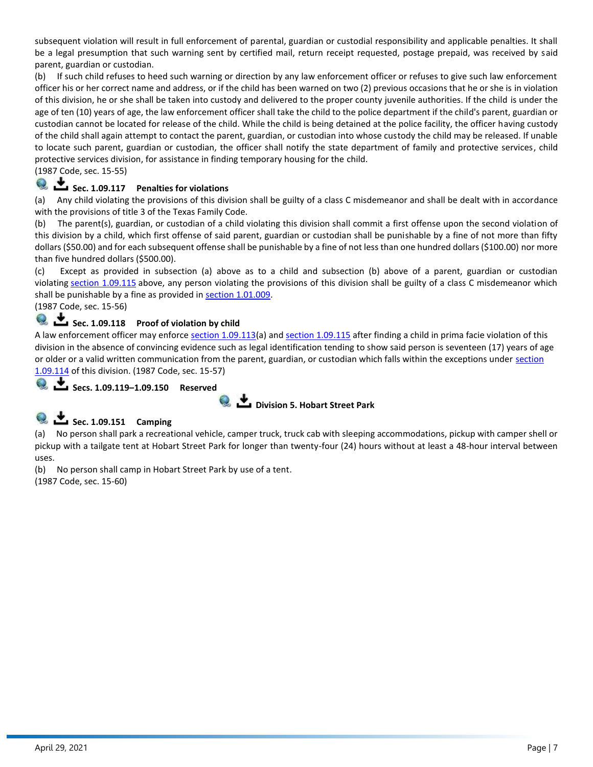subsequent violation will result in full enforcement of parental, guardian or custodial responsibility and applicable penalties. It shall be a legal presumption that such warning sent by certified mail, return receipt requested, postage prepaid, was received by said parent, guardian or custodian.

(b) If such child refuses to heed such warning or direction by any law enforcement officer or refuses to give such law enforcement officer his or her correct name and address, or if the child has been warned on two (2) previous occasions that he or she is in violation of this division, he or she shall be taken into custody and delivered to the proper county juvenile authorities. If the child is under the age of ten (10) years of age, the law enforcement officer shall take the child to the police department if the child's parent, guardian or custodian cannot be located for release of the child. While the child is being detained at the police facility, the officer having custody of the child shall again attempt to contact the parent, guardian, or custodian into whose custody the child may be released. If unable to locate such parent, guardian or custodian, the officer shall notify the state department of family and protective services, child protective services division, for assistance in finding temporary housing for the child.

(1987 Code, sec. 15-55)

# Sec. 1.09.117 Penalties for violations

(a) Any child violating the provisions of this division shall be guilty of a class C misdemeanor and shall be dealt with in accordance with the provisions of title 3 of the Texas Family Code.

(b) The parent(s), guardian, or custodian of a child violating this division shall commit a first offense upon the second violation of this division by a child, which first offense of said parent, guardian or custodian shall be punishable by a fine of not more than fifty dollars (\$50.00) and for each subsequent offense shall be punishable by a fine of not less than one hundred dollars (\$100.00) nor more than five hundred dollars (\$500.00).

(c) Except as provided in subsection (a) above as to a child and subsection (b) above of a parent, guardian or custodian violating [section 1.09.115](https://z2codes.franklinlegal.net/franklin/DocViewer.jsp?doccode=z20000008&z2collection=pampa#JD_1.09.115) above, any person violating the provisions of this division shall be guilty of a class C misdemeanor which shall be punishable by a fine as provided in [section 1.01.009.](https://z2codes.franklinlegal.net/franklin/DocViewer.jsp?doccode=z20000008&z2collection=pampa#JD_1.01.009)

(1987 Code, sec. 15-56)

# Sec. 1.09.118 Proof of violation by child

A law enforcement officer may enforce [section 1.09.113\(](https://z2codes.franklinlegal.net/franklin/DocViewer.jsp?doccode=z20000008&z2collection=pampa#JD_1.09.113)a) and [section 1.09.115](https://z2codes.franklinlegal.net/franklin/DocViewer.jsp?doccode=z20000008&z2collection=pampa#JD_1.09.115) after finding a child in prima facie violation of this division in the absence of convincing evidence such as legal identification tending to show said person is seventeen (17) years of age or older or a valid written communication from the parent, guardian, or custodian which falls within the exceptions under section [1.09.114](https://z2codes.franklinlegal.net/franklin/DocViewer.jsp?doccode=z20000008&z2collection=pampa#JD_1.09.114) of this division. (1987 Code, sec. 15-57)

 **Secs. 1.09.119–1.09.150 Reserved**



# **Sec. 1.09.151 Camping**

(a) No person shall park a recreational vehicle, camper truck, truck cab with sleeping accommodations, pickup with camper shell or pickup with a tailgate tent at Hobart Street Park for longer than twenty-four (24) hours without at least a 48-hour interval between uses.

(b) No person shall camp in Hobart Street Park by use of a tent.

(1987 Code, sec. 15-60)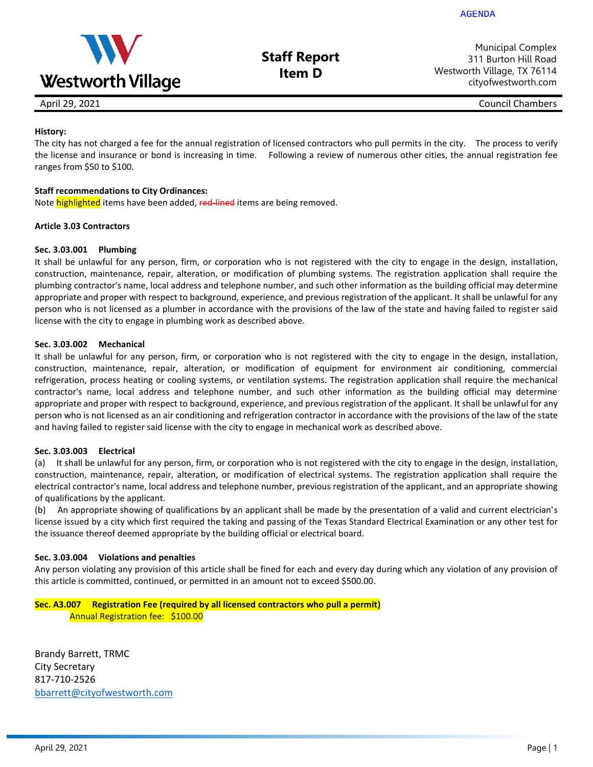

**Staff Report Item D**

Municipal Complex 311 Burton Hill Road Westworth Village, TX 76114 cityofwestworth.com

April 29, 2021 **Council Chambers** Council Chambers **Council Chambers** Council Chambers **Council Chambers** 

### **History:**

The city has not charged a fee for the annual registration of licensed contractors who pull permits in the city. The process to verify the license and insurance or bond is increasing in time. Following a review of numerous other cities, the annual registration fee ranges from \$50 to \$100.

#### **Staff recommendations to City Ordinances:**

Note highlighted items have been added, red-lined items are being removed.

#### **Article 3.03 Contractors**

#### **Sec. 3.03.001 Plumbing**

It shall be unlawful for any person, firm, or corporation who is not registered with the city to engage in the design, installation, construction, maintenance, repair, alteration, or modification of plumbing systems. The registration application shall require the plumbing contractor's name, local address and telephone number, and such other information as the building official may determine appropriate and proper with respect to background, experience, and previous registration of the applicant. It shall be unlawful for any person who is not licensed as a plumber in accordance with the provisions of the law of the state and having failed to register said license with the city to engage in plumbing work as described above.

#### **Sec. 3.03.002 Mechanical**

It shall be unlawful for any person, firm, or corporation who is not registered with the city to engage in the design, installation, construction, maintenance, repair, alteration, or modification of equipment for environment air conditioning, commercial refrigeration, process heating or cooling systems, or ventilation systems. The registration application shall require the mechanical contractor's name, local address and telephone number, and such other information as the building official may determine appropriate and proper with respect to background, experience, and previous registration of the applicant. It shall be unlawful for any person who is not licensed as an air conditioning and refrigeration contractor in accordance with the provisions of the law of the state and having failed to register said license with the city to engage in mechanical work as described above.

#### **Sec. 3.03.003 Electrical**

(a) It shall be unlawful for any person, firm, or corporation who is not registered with the city to engage in the design, installation, construction, maintenance, repair, alteration, or modification of electrical systems. The registration application shall require the electrical contractor's name, local address and telephone number, previous registration of the applicant, and an appropriate showing of qualifications by the applicant.

(b) An appropriate showing of qualifications by an applicant shall be made by the presentation of a valid and current electrician's license issued by a city which first required the taking and passing of the Texas Standard Electrical Examination or any other test for the issuance thereof deemed appropriate by the building official or electrical board.

#### **Sec. 3.03.004 Violations and penalties**

Any person violating any provision of this article shall be fined for each and every day during which any violation of any provision of this article is committed, continued, or permitted in an amount not to exceed \$500.00.

#### **Sec. A3.007 Registration Fee (required by all licensed contractors who pull a permit)** Annual Registration fee: \$100.00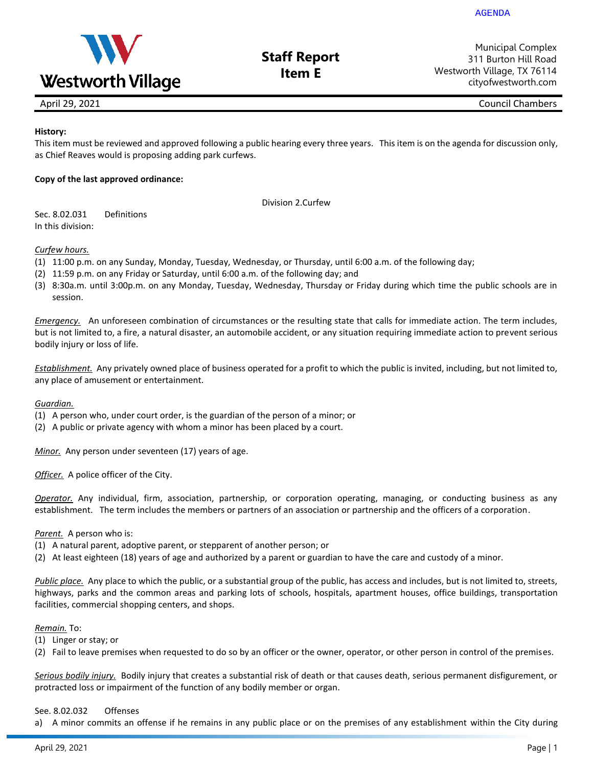

### **Staff Report Item E**

Municipal Complex 311 Burton Hill Road Westworth Village, TX 76114 cityofwestworth.com

April 29, 2021 Council Chambers

### **History:**

This item must be reviewed and approved following a public hearing every three years. This item is on the agenda for discussion only, as Chief Reaves would is proposing adding park curfews.

### **Copy of the last approved ordinance:**

Division 2.Curfew

Sec. 8.02.031 Definitions In this division:

#### *Curfew hours.*

- (1) 11:00 p.m. on any Sunday, Monday, Tuesday, Wednesday, or Thursday, until 6:00 a.m. of the following day;
- (2) 11:59 p.m. on any Friday or Saturday, until 6:00 a.m. of the following day; and
- (3) 8:30a.m. until 3:00p.m. on any Monday, Tuesday, Wednesday, Thursday or Friday during which time the public schools are in session.

*Emergency.* An unforeseen combination of circumstances or the resulting state that calls for immediate action. The term includes, but is not limited to, a fire, a natural disaster, an automobile accident, or any situation requiring immediate action to prevent serious bodily injury or loss of life.

*Establishment.* Any privately owned place of business operated for a profit to which the public is invited, including, but not limited to, any place of amusement or entertainment.

#### *Guardian.*

- (1) A person who, under court order, is the guardian of the person of a minor; or
- (2) A public or private agency with whom a minor has been placed by a court.

*Minor.* Any person under seventeen (17) years of age.

*Officer.* A police officer of the City.

*Operator.* Any individual, firm, association, partnership, or corporation operating, managing, or conducting business as any establishment. The term includes the members or partners of an association or partnership and the officers of a corporation.

#### *Parent.* A person who is:

- (1) A natural parent, adoptive parent, or stepparent of another person; or
- (2) At least eighteen (18) years of age and authorized by a parent or guardian to have the care and custody of a minor.

*Public place.* Any place to which the public, or a substantial group of the public, has access and includes, but is not limited to, streets, highways, parks and the common areas and parking lots of schools, hospitals, apartment houses, office buildings, transportation facilities, commercial shopping centers, and shops.

#### *Remain.* To:

- (1) Linger or stay; or
- (2) Fail to leave premises when requested to do so by an officer or the owner, operator, or other person in control of the premises.

*Serious bodily injury.* Bodily injury that creates a substantial risk of death or that causes death, serious permanent disfigurement, or protracted loss or impairment of the function of any bodily member or organ.

#### See. 8.02.032 Offenses

a) A minor commits an offense if he remains in any public place or on the premises of any establishment within the City during